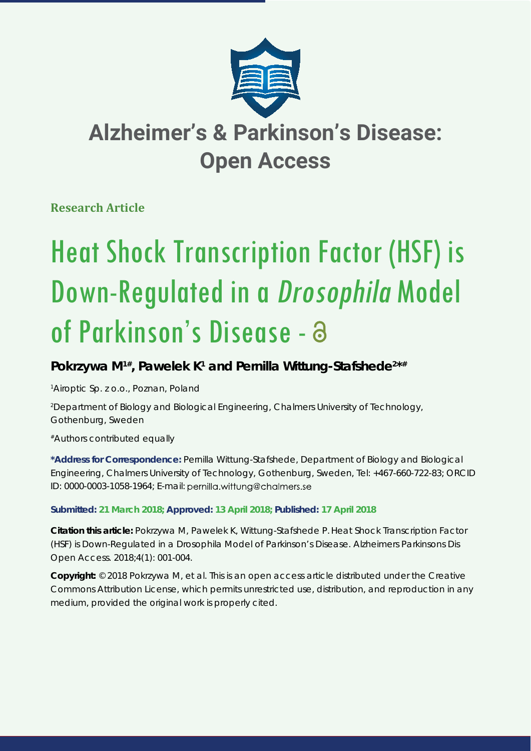

# **Alzheimer's & Parkinson's Disease: Open Access**

### **Research Article**

# Heat Shock Transcription Factor (HSF) is Down-Regulated in a Drosophila Model of Parkinson's Disease - a

## Pokrzywa M<sup>1#</sup>, Pawelek K<sup>1</sup> and Pernilla Wittung-Stafshede<sup>2\*#</sup>

*1 Airoptic Sp. z o.o., Poznan, Poland*

*2 Department of Biology and Biological Engineering, Chalmers University of Technology, Gothenburg, Sweden*

*#Authors contributed equally*

**\*Address for Correspondence:** Pernilla Wittung-Stafshede, Department of Biology and Biological Engineering, Chalmers University of Technology, Gothenburg, Sweden, Tel: +467-660-722-83; ORCID ID: 0000-0003-1058-1964; E-mail: pernilla.wittung@chalmers.se

#### **Submitted: 21 March 2018; Approved: 13 April 2018; Published: 17 April 2018**

**Citation this article:** Pokrzywa M, Pawelek K, Wittung-Stafshede P.Heat Shock Transcription Factor (HSF) is Down-Regulated in a *Drosophila* Model of Parkinson's Disease. Alzheimers Parkinsons Dis Open Access. 2018;4(1): 001-004.

**Copyright:** © 2018 Pokrzywa M, et al. This is an open access article distributed under the Creative Commons Attribution License, which permits unrestricted use, distribution, and reproduction in any medium, provided the original work is properly cited.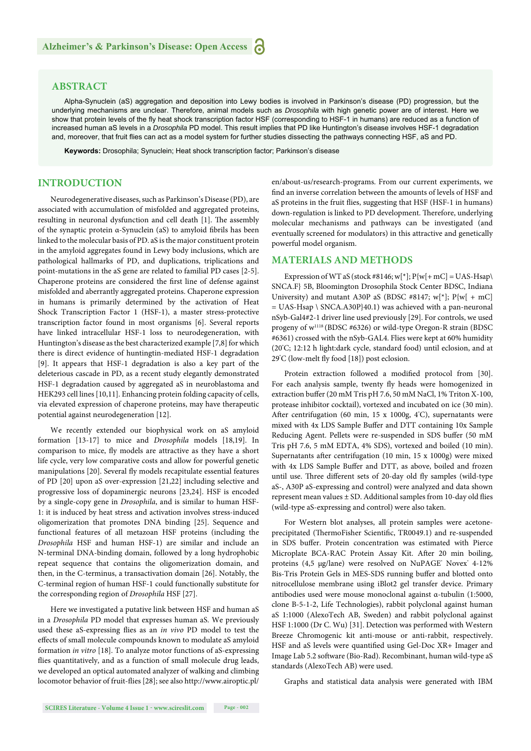#### **ABSTRACT**

Alpha-Synuclein (aS) aggregation and deposition into Lewy bodies is involved in Parkinson's disease (PD) progression, but the underlying mechanisms are unclear. Therefore, animal models such as *Drosophila* with high genetic power are of interest. Here we show that protein levels of the fly heat shock transcription factor HSF (corresponding to HSF-1 in humans) are reduced as a function of increased human aS levels in a *Drosophila* PD model. This result implies that PD like Huntington's disease involves HSF-1 degradation and, moreover, that fruit flies can act as a model system for further studies dissecting the pathways connecting HSF, aS and PD.

**Keywords:** Drosophila; Synuclein; Heat shock transcription factor; Parkinson's disease

#### **INTRODUCTION**

Neurodegenerative diseases, such as Parkinson's Disease (PD), are associated with accumulation of misfolded and aggregated proteins, resulting in neuronal dysfunction and cell death [1]. The assembly of the synaptic protein α-Synuclein (aS) to amyloid fibrils has been linked to the molecular basis of PD. aS is the major constituent protein in the amyloid aggregates found in Lewy body inclusions, which are pathological hallmarks of PD, and duplications, triplications and point-mutations in the aS gene are related to familial PD cases [2-5]. Chaperone proteins are considered the first line of defense against misfolded and aberrantly aggregated proteins. Chaperone expression in humans is primarily determined by the activation of Heat Shock Transcription Factor 1 (HSF-1), a master stress-protective transcription factor found in most organisms [6]. Several reports have linked intracellular HSF-1 loss to neurodegeneration, with Huntington's disease as the best characterized example [7,8] for which there is direct evidence of huntingtin-mediated HSF-1 degradation [9]. It appears that HSF-1 degradation is also a key part of the deleterious cascade in PD, as a recent study elegantly demonstrated HSF-1 degradation caused by aggregated aS in neuroblastoma and HEK293 cell lines [10,11]. Enhancing protein folding capacity of cells, via elevated expression of chaperone proteins, may have therapeutic potential against neurodegeneration [12].

We recently extended our biophysical work on aS amyloid formation [13-17] to mice and *Drosophila* models [18,19]. In comparison to mice, fly models are attractive as they have a short life cycle, very low comparative costs and allow for powerful genetic manipulations [20]. Several fly models recapitulate essential features of PD [20] upon aS over-expression [21,22] including selective and progressive loss of dopaminergic neurons [23,24]. HSF is encoded by a single-copy gene in *Drosophila*, and is similar to human HSF-1: it is induced by heat stress and activation involves stress-induced oligomerization that promotes DNA binding [25]. Sequence and functional features of all metazoan HSF proteins (including the *Drosophila* HSF and human HSF-1) are similar and include an N-terminal DNA-binding domain, followed by a long hydrophobic repeat sequence that contains the oligomerization domain, and then, in the C-terminus, a transactivation domain [26]. Notably, the C-terminal region of human HSF-1 could functionally substitute for the corresponding region of *Drosophila* HSF [27].

Here we investigated a putative link between HSF and human aS in a *Drosophila* PD model that expresses human aS. We previously used these aS-expressing flies as an *in vivo* PD model to test the effects of small molecule compounds known to modulate aS amyloid formation *in vitro* [18]. To analyze motor functions of aS-expressing flies quantitatively, and as a function of small molecule drug leads, we developed an optical automated analyzer of walking and climbing locomotor behavior of fruit-flies [28]; see also http://www.airoptic.pl/ en/about-us/research-programs. From our current experiments, we find an inverse correlation between the amounts of levels of HSF and aS proteins in the fruit flies, suggesting that HSF (HSF-1 in humans) down-regulation is linked to PD development. Therefore, underlying molecular mechanisms and pathways can be investigated (and eventually screened for modulators) in this attractive and genetically powerful model organism.

#### **MATERIALS AND METHODS**

Expression of WT aS (stock #8146; w[\*];  $P{w[+mC]} = UAS-Hsap\$ SNCA.F} 5B, Bloomington Drosophila Stock Center BDSC, Indiana University) and mutant A30P aS (BDSC #8147;  $w[^{*}]$ ;  $P{w[ + mC]}$ = UAS-Hsap \ SNCA.A30P}40.1) was achieved with a pan-neuronal nSyb-Gal4#2-1 driver line used previously [29]. For controls, we used progeny of w1118 (BDSC #6326) or wild-type Oregon-R strain (BDSC #6361) crossed with the nSyb-GAL4. Flies were kept at 60% humidity (20° C; 12:12 h light:dark cycle, standard food) until eclosion, and at 29°C (low-melt fly food [18]) post eclosion.

Protein extraction followed a modified protocol from [30]. For each analysis sample, twenty fly heads were homogenized in extraction buffer (20 mM Tris pH 7.6, 50 mM NaCl, 1% Triton X-100, protease inhibitor cocktail), vortexed and incubated on ice (30 min). After centrifugation (60 min, 15 x 1000g,  $4^{\circ}$ C), supernatants were mixed with 4x LDS Sample Buffer and DTT containing 10x Sample Reducing Agent. Pellets were re-suspended in SDS buffer (50 mM Tris pH 7.6, 5 mM EDTA, 4% SDS), vortexed and boiled (10 min). Supernatants after centrifugation (10 min,  $15 \times 1000$ g) were mixed with 4x LDS Sample Buffer and DTT, as above, boiled and frozen until use. Three different sets of 20-day old fly samples (wild-type aS-, A30P aS-expressing and control) were analyzed and data shown represent mean values  $\pm$  SD. Additional samples from 10-day old flies (wild-type aS-expressing and control) were also taken.

For Western blot analyses, all protein samples were acetoneprecipitated (ThermoFisher Scientific, TR0049.1) and re-suspended in SDS buffer. Protein concentration was estimated with Pierce Microplate BCA-RAC Protein Assay Kit. After 20 min boiling, proteins (4,5 μg/lane) were resolved on NuPAGE<sup>\*</sup> Novex<sup>\*</sup> 4-12% Bis-Tris Protein Gels in MES-SDS running buffer and blotted onto nitrocellulose membrane using iBlot2 gel transfer device. Primary antibodies used were mouse monoclonal against α-tubulin (1:5000, clone B-5-1-2, Life Technologies), rabbit polyclonal against human aS 1:1000 (AlexoTech AB, Sweden) and rabbit polyclonal against HSF 1:1000 (Dr C. Wu) [31]. Detection was performed with Western Breeze Chromogenic kit anti-mouse or anti-rabbit, respectively. HSF and aS levels were quantified using Gel-Doc XR+ Imager and Image Lab 5.2 software (Bio-Rad). Recombinant, human wild-type aS standards (AlexoTech AB) were used.

Graphs and statistical data analysis were generated with IBM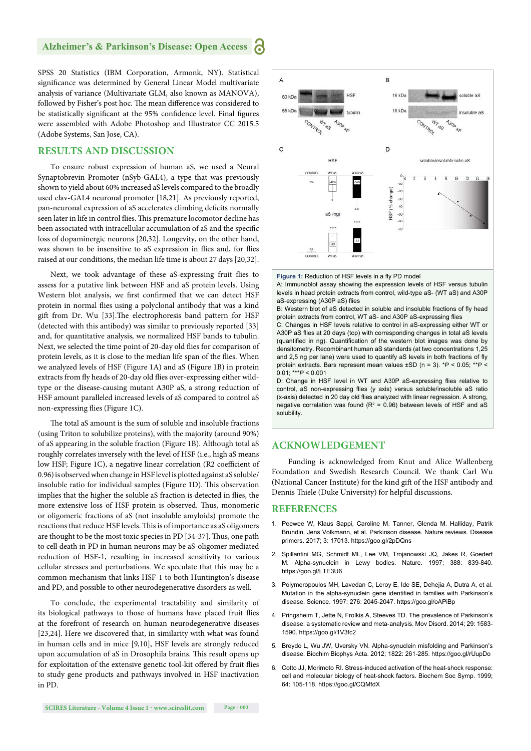#### **Alzheimer's & Parkinson's Disease: Open Access** ۲Ġ

SPSS 20 Statistics (IBM Corporation, Armonk, NY). Statistical significance was determined by General Linear Model multivariate analysis of variance (Multivariate GLM, also known as MANOVA), followed by Fisher's post hoc. The mean difference was considered to be statistically significant at the 95% confidence level. Final figures were assembled with Adobe Photoshop and Illustrator CC 2015.5 (Adobe Systems, San Jose, CA).

#### **RESULTS AND DISCUSSION**

To ensure robust expression of human aS, we used a Neural Synaptobrevin Promoter (nSyb-GAL4), a type that was previously shown to yield about 60% increased aS levels compared to the broadly used elav-GAL4 neuronal promoter [18,21]. As previously reported, pan-neuronal expression of aS accelerates climbing deficits normally seen later in life in control flies. This premature locomotor decline has been associated with intracellular accumulation of aS and the specific loss of dopaminergic neurons [20,32]. Longevity, on the other hand, was shown to be insensitive to aS expression in flies and, for flies raised at our conditions, the median life time is about 27 days [20,32].

Next, we took advantage of these aS-expressing fruit flies to assess for a putative link between HSF and aS protein levels. Using Western blot analysis, we first confirmed that we can detect HSF protein in normal flies using a polyclonal antibody that was a kind gift from Dr. Wu [33].The electrophoresis band pattern for HSF (detected with this antibody) was similar to previously reported [33] and, for quantitative analysis, we normalized HSF bands to tubulin. Next, we selected the time point of 20-day old flies for comparison of protein levels, as it is close to the median life span of the flies. When we analyzed levels of HSF (Figure 1A) and aS (Figure 1B) in protein extracts from fly heads of 20-day old flies over-expressing either wildtype or the disease-causing mutant A30P aS, a strong reduction of HSF amount paralleled increased levels of aS compared to control aS non-expressing flies (Figure 1C).

The total aS amount is the sum of soluble and insoluble fractions (using Triton to solubilize proteins), with the majority (around 90%) of aS appearing in the soluble fraction (Figure 1B). Although total aS roughly correlates inversely with the level of HSF (i.e., high aS means low HSF; Figure 1C), a negative linear correlation (R2 coefficient of 0.96) is observed when change in HSF level is plotted against aS soluble/ insoluble ratio for individual samples (Figure 1D). This observation implies that the higher the soluble aS fraction is detected in flies, the more extensive loss of HSF protein is observed. Thus, monomeric or oligomeric fractions of aS (not insoluble amyloids) promote the reactions that reduce HSF levels. This is of importance as aS oligomers are thought to be the most toxic species in PD [34-37]. Thus, one path to cell death in PD in human neurons may be aS-oligomer mediated reduction of HSF-1, resulting in increased sensitivity to various cellular stresses and perturbations. We speculate that this may be a common mechanism that links HSF-1 to both Huntington's disease and PD, and possible to other neurodegenerative disorders as well.

To conclude, the experimental tractability and similarity of its biological pathways to those of humans have placed fruit flies at the forefront of research on human neurodegenerative diseases [23,24]. Here we discovered that, in similarity with what was found in human cells and in mice [9,10], HSF levels are strongly reduced upon accumulation of aS in Drosophila brains. This result opens up for exploitation of the extensive genetic tool-kit offered by fruit flies to study gene products and pathways involved in HSF inactivation in PD.



Figure 1: Reduction of HSF levels in a fly PD model

A: Immunoblot assay showing the expression levels of HSF versus tubulin levels in head protein extracts from control, wild-type aS- (WT aS) and A30P aS-expressing (A30P aS) flies

B: Western blot of aS detected in soluble and insoluble fractions of fly head protein extracts from control, WT aS- and A30P aS-expressing flies

C: Changes in HSF levels relative to control in aS-expressing either WT or A30P aS flies at 20 days (top) with corresponding changes in total aS levels (quantified in ng). Quantification of the western blot images was done by densitometry. Recombinant human aS standards (at two concentrations 1,25 and 2,5 ng per lane) were used to quantify aS levels in both fractions of fly protein extracts. Bars represent mean values ±SD (n = 3). \**P* < 0.05; \*\**P* < 0.01; \*\*\**P* < 0.001

D: Change in HSF level in WT and A30P aS-expressing flies relative to control, aS non-expressing flies (y axis) versus soluble/insoluble aS ratio (x-axis) detected in 20 day old flies analyzed with linear regression. A strong, negative correlation was found ( $R^2$  = 0.96) between levels of HSF and aS solubility.

#### **ACKNOWLEDGEMENT**

Funding is acknowledged from Knut and Alice Wallenberg Foundation and Swedish Research Council. We thank Carl Wu (National Cancer Institute) for the kind gift of the HSF antibody and Dennis Thiele (Duke University) for helpful discussions.

#### **REFERENCES**

- 1. Peewee W, Klaus Sappi, Caroline M. Tanner, Glenda M. Halliday, Patrik Brundin, Jens Volkmann, et al. Parkinson disease. Nature reviews. Disease primers. 2017; 3: 17013. https://goo.gl/2pDQns
- 2. Spillantini MG, Schmidt ML, Lee VM, Trojanowski JQ, Jakes R, Goedert M. Alpha-synuclein in Lewy bodies. Nature. 1997; 388: 839-840. https://goo.gl/LTE3U6
- 3. Polymeropoulos MH, Lavedan C, Leroy E, Ide SE, Dehejia A, Dutra A, et al. Mutation in the alpha-synuclein gene identified in families with Parkinson's disease. Science. 1997; 276: 2045-2047. https://goo.gl/oAPiBp
- 4. Pringsheim T, Jette N, Frolkis A, Steeves TD. The prevalence of Parkinson's disease: a systematic review and meta-analysis. Mov Disord. 2014; 29: 1583- 1590. https://goo.gl/1V3fc2
- 5. Breydo L, Wu JW, Uversky VN. Alpha-synuclein misfolding and Parkinson's disease. Biochim Biophys Acta. 2012; 1822: 261-285. https://goo.gl/rUupDo
- 6. Cotto JJ, Morimoto RI. Stress-induced activation of the heat-shock response: cell and molecular biology of heat-shock factors. Biochem Soc Symp. 1999; 64: 105-118. https://goo.gl/CQMfdX